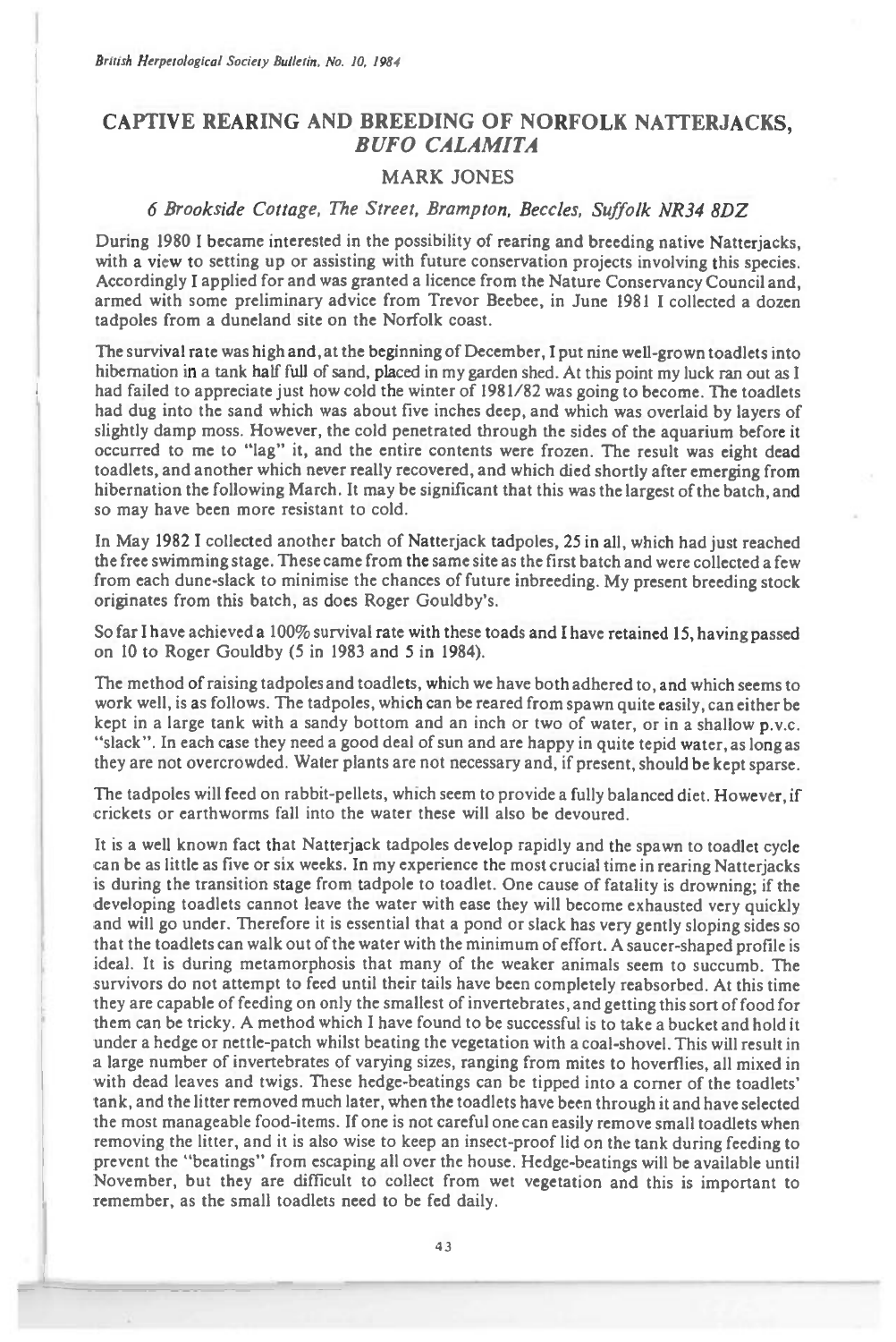## **CAPTIVE REARING AND BREEDING OF NORFOLK NATTERJACKS,**  *BUFO CALAMITA*

## MARK JONES

## 6 Brookside Cottage, The Street, Brampton, Beccles, Suffolk NR34 8DZ

During 1980 I became interested in the possibility of rearing and breeding native Natterjacks, with a view to setting up or assisting with future conservation projects involving this species. Accordingly I applied for and was granted a licence from the Nature Conservancy Council and, armed with some preliminary advice from Trevor Beebee, in June 1981 I collected a dozen tadpoles from a duneland site on the Norfolk coast.

The survival rate was high and, at the beginning of December, I put nine well-grown toadlets into hibernation in a tank half full of sand, placed in my garden shed. At this point my luck ran out as I had failed to appreciate just how cold the winter of 1981/82 was going to become. The toadlets had dug into the sand which was about five inches deep, and which was overlaid by layers of slightly damp moss. However, the cold penetrated through the sides of the aquarium before it occurred to me to "lag" it, and the entire contents were frozen. The result was eight dead toadlets, and another which never really recovered, and which died shortly after emerging from hibernation the following March. It may be significant that this was the largest of the batch, and so may have been more resistant to cold.

In May 1982 I collected another batch of Natterjack tadpoles, 25 in all, which had just reached the free swimming stage. These came from the same site as the first batch and were collected a few from each dune-slack to minimise the chances of future inbreeding. My present breeding stock originates from this batch, as does Roger Gouldby's.

So far I have achieved a 100% survival rate with these toads and I have retained 15, having passed on 10 to Roger Gouldby (5 in 1983 and 5 in 1984).

The method of raising tadpoles and toadlets, which we have both adhered to, and which seems to work well, is as follows. The tadpoles, which can be reared from spawn quite easily, can either be kept in a large tank with a sandy bottom and an inch or two of water, or in a shallow p.v.c. "slack". In each case they need a good deal of sun and are happy in quite tepid water, as long as they are not overcrowded. Water plants are not necessary and, if present, should be kept sparse.

The tadpoles will feed on rabbit-pellets, which seem to provide a fully balanced diet. However, if crickets or earthworms fall into the water these will also be devoured.

It is a well known fact that Natterjack tadpoles develop rapidly and the spawn to toadlet cycle can *be* as little as five or six weeks. In my experience the most crucial time in rearing Natterjacks is during the transition stage from tadpole to toadlet. One cause of fatality is drowning; if the developing toadlets cannot leave the water with ease they will become exhausted very quickly and will go under. Therefore it is essential that a pond or slack has very gently sloping sides so that the toadlets can walk out of the water with the minimum of effort. A saucer-shaped profile is ideal. It is during metamorphosis that many of the weaker animals seem to succumb. The survivors do not attempt to feed until their tails have been completely reabsorbed. At this time they are capable of feeding on only the smallest of invertebrates, and getting this sort of food for them can be tricky. A method which I have found to be successful is to take a bucket and hold it under a hedge or nettle-patch whilst beating the vegetation with a coal-shovel. This will result in a large number of invertebrates of varying sizes, ranging from mites to hoverflies, all mixed in with dead leaves and twigs. These hedge-beatings can be tipped into a corner of the toadlets' tank, and the litter removed much later, when the toadlets have been through it and have selected the most manageable food-items. If one is not careful one can easily remove small toadlets when removing the litter, and it is also wise to keep an insect-proof lid on the tank during feeding to prevent the "beatings" from escaping all over the house. Hedge-beatings will be available until November, but they are difficult to collect from wet vegetation and this is important to remember, as the small toadlets need to be fed daily.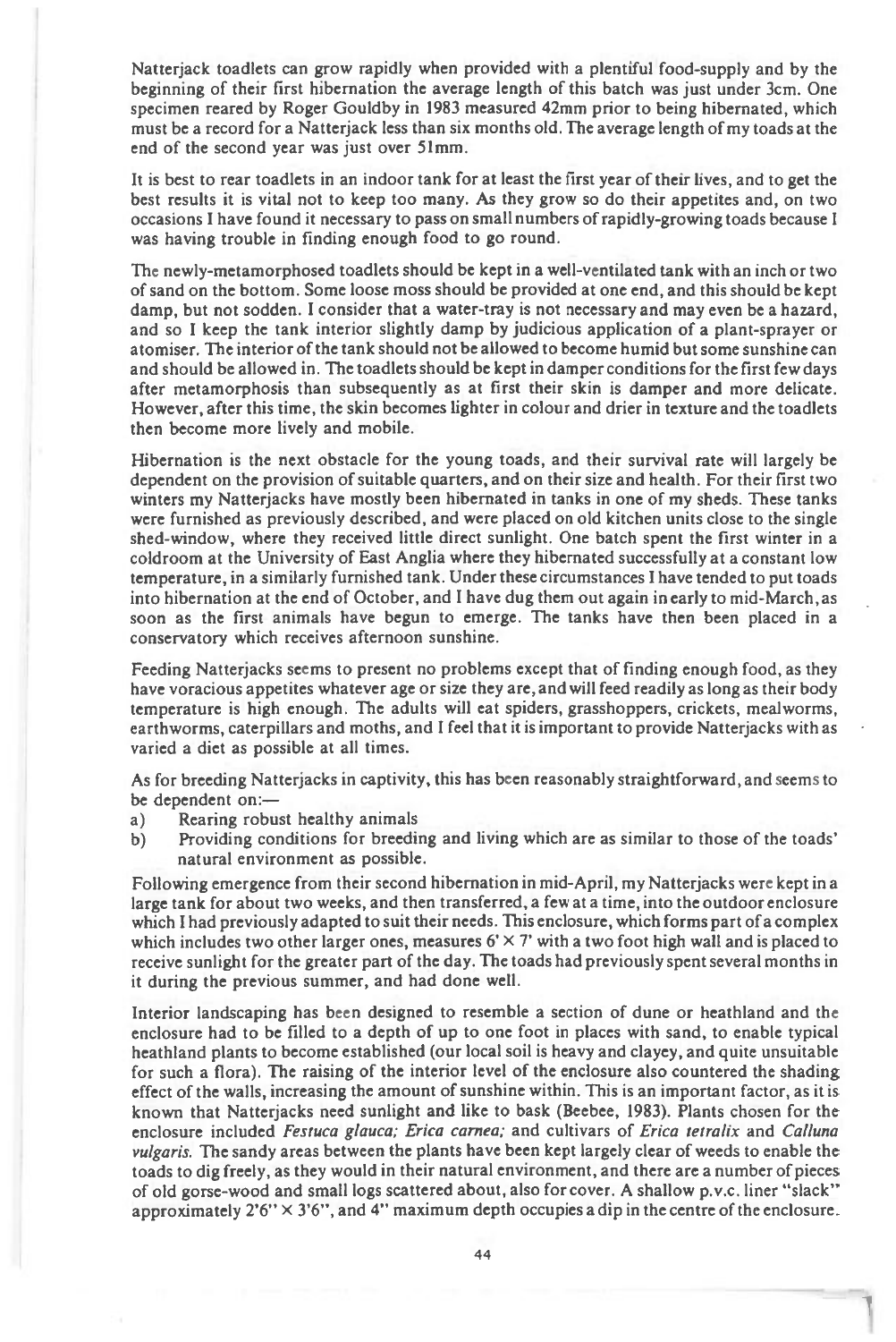Natterjack toadlets can grow rapidly when provided with a plentiful food-supply and by the beginning of their first hibernation the average length of this batch was just under 3cm. One specimen reared by Roger Gouldby in 1983 measured 42mm prior to being hibernated, which must be a record for a Natterjack less than six months old. The average length of my toads at the end of the second year was just over 51mm.

It is best to rear toadlets in an indoor tank for at least the first year of their lives, and to get the best results it is vital not to keep too many. As they grow so do their appetites and, on two occasions I have found it necessary to pass on small numbers of rapidly-growing toads because I was having trouble in finding enough food to go round.

The newly-metamorphosed toadlets should be kept in a well-ventilated tank with an inch or two of sand on the bottom. Some loose moss should be provided at one end, and this should be kept damp, but not sodden. I consider that a water-tray is not necessary and may even be a hazard, and so I keep the tank interior slightly damp by judicious application of a plant-sprayer or atomiser. The interior of the tank should not be allowed to become humid but some sunshine can and should be allowed in. The toadlets should be kept in damper conditions for the first few days after metamorphosis than subsequently as at first their skin is damper and more delicate. However, after this time, the skin becomes lighter in colour and drier in texture and the toadlets then become more lively and mobile.

Hibernation is the next obstacle for the young toads, and their survival rate will largely be dependent on the provision of suitable quarters, and on their size and health. For their first two winters my Natterjacks have mostly been hibernated in tanks in one of my sheds. These tanks were furnished as previously described, and were placed on old kitchen units close to the single shed-window, where they received little direct sunlight. One batch spent the first winter in a coldroom at the University of East Anglia where they hibernated successfully at a constant low temperature, in a similarly furnished tank. Under these circumstances I have tended to put toads into hibernation at the end of October, and I have dug them out again in early to mid-March, as soon as the first animals have begun to emerge. The tanks have then been placed in a conservatory which receives afternoon sunshine.

Feeding Natterjacks seems to present no problems except that of finding enough food, as they have voracious appetites whatever age or size they are, and will feed readily as long as their body temperature is high enough. The adults will eat spiders, grasshoppers, crickets, meal worms, earthworms, caterpillars and moths, and I feel that it is important to provide Natterjacks with as varied a diet as possible at all times.

As for breeding Natterjacks in captivity, this has been reasonably straightforward, and seems to be dependent on:—

- a) Rearing robust healthy animals
- b) Providing conditions for breeding and living which are as similar to those of the toads' natural environment as possible.

Following emergence from their second hibernation in mid-April, my Natterjacks were kept in a large tank for about two weeks, and then transferred, a few at a time, into the outdoor enclosure which I had previously adapted to suit their needs. This enclosure, which forms part of a complex which includes two other larger ones, measures  $6' \times 7'$  with a two foot high wall and is placed to receive sunlight for the greater part of the day. The toads had previously spent several months in it during the previous summer, and had done well.

Interior landscaping has been designed to resemble a section of dune or heathland and the enclosure had to be filled to a depth of up to one foot in places with sand, to enable typical heathland plants to become established (our local soil is heavy and clayey, and quite unsuitable for such a flora). The raising of the interior level of the enclosure also countered the shading effect of the walls, increasing the amount of sunshine within. This is an important factor, as it is known that Natterjacks need sunlight and like to bask (Beebee, 1983). Plants chosen for the enclosure included **Festuca glauca; Erica cornea;** and cultivars of **Erica tetralix** and **Calluna vulgaris.** The sandy areas between the plants have been kept largely clear of weeds to enable the toads to dig freely, as they would in their natural environment, and there are a number of pieces of old gorse-wood and small logs scattered about, also for cover. A shallow p.v.c. liner "slack" approximately  $2'6'' \times 3'6''$ , and 4" maximum depth occupies a dip in the centre of the enclosure.